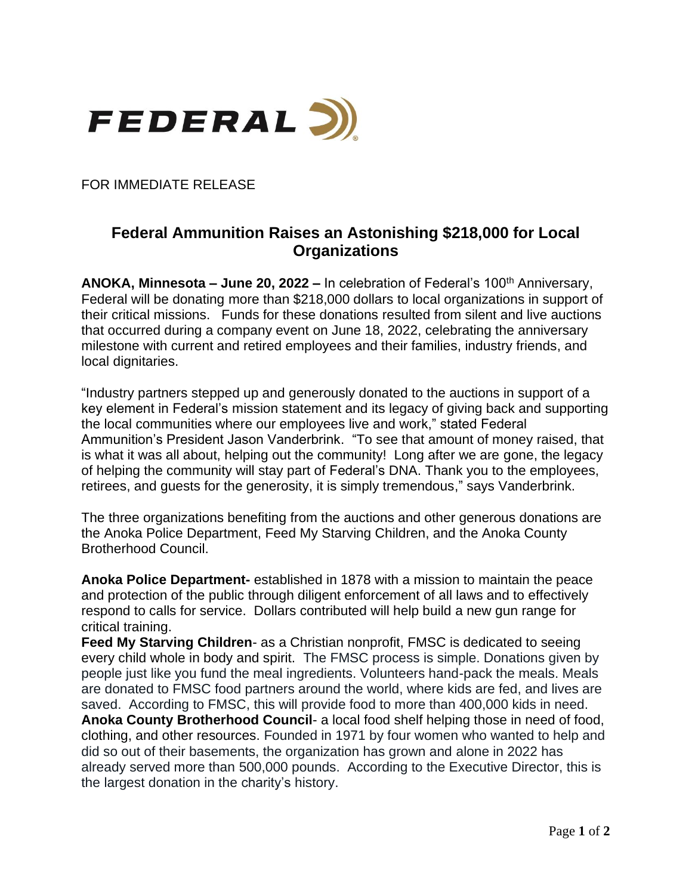

FOR IMMEDIATE RELEASE

## **Federal Ammunition Raises an Astonishing \$218,000 for Local Organizations**

ANOKA, Minnesota – June 20, 2022 – In celebration of Federal's 100<sup>th</sup> Anniversary, Federal will be donating more than \$218,000 dollars to local organizations in support of their critical missions. Funds for these donations resulted from silent and live auctions that occurred during a company event on June 18, 2022, celebrating the anniversary milestone with current and retired employees and their families, industry friends, and local dignitaries.

"Industry partners stepped up and generously donated to the auctions in support of a key element in Federal's mission statement and its legacy of giving back and supporting the local communities where our employees live and work," stated Federal Ammunition's President Jason Vanderbrink. "To see that amount of money raised, that is what it was all about, helping out the community! Long after we are gone, the legacy of helping the community will stay part of Federal's DNA. Thank you to the employees, retirees, and guests for the generosity, it is simply tremendous," says Vanderbrink.

The three organizations benefiting from the auctions and other generous donations are the Anoka Police Department, Feed My Starving Children, and the Anoka County Brotherhood Council.

**Anoka Police Department-** established in 1878 with a mission to maintain the peace and protection of the public through diligent enforcement of all laws and to effectively respond to calls for service. Dollars contributed will help build a new gun range for critical training.

**Feed My Starving Children**- as a Christian nonprofit, FMSC is dedicated to seeing every child whole in body and spirit. The FMSC process is simple. Donations given by people just like you fund the meal ingredients. Volunteers hand-pack the meals. Meals are donated to FMSC food partners around the world, where kids are fed, and lives are saved. According to FMSC, this will provide food to more than 400,000 kids in need. **Anoka County Brotherhood Council**- a local food shelf helping those in need of food, clothing, and other resources. Founded in 1971 by four women who wanted to help and did so out of their basements, the organization has grown and alone in 2022 has already served more than 500,000 pounds. According to the Executive Director, this is the largest donation in the charity's history.